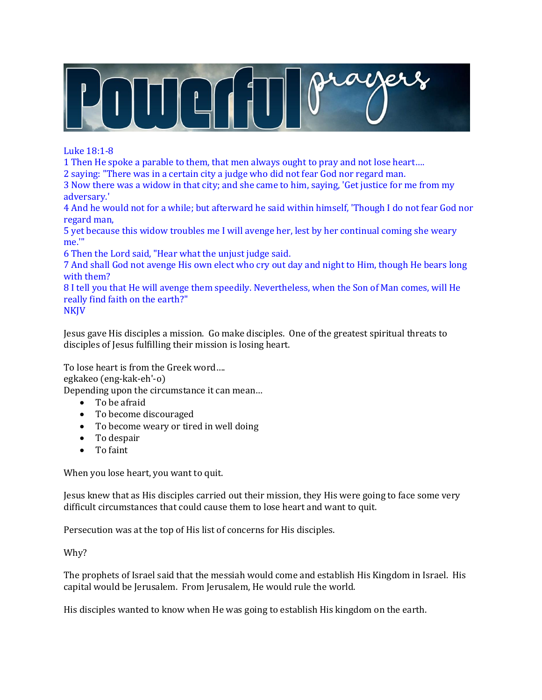

Luke 18:1-8

1 Then He spoke a parable to them, that men always ought to pray and not lose heart….

2 saying: "There was in a certain city a judge who did not fear God nor regard man.

3 Now there was a widow in that city; and she came to him, saying, 'Get justice for me from my adversary.'

4 And he would not for a while; but afterward he said within himself, 'Though I do not fear God nor regard man,

5 yet because this widow troubles me I will avenge her, lest by her continual coming she weary me.'"

6 Then the Lord said, "Hear what the unjust judge said.

7 And shall God not avenge His own elect who cry out day and night to Him, though He bears long with them?

8 I tell you that He will avenge them speedily. Nevertheless, when the Son of Man comes, will He really find faith on the earth?"

**NKJV** 

Jesus gave His disciples a mission. Go make disciples. One of the greatest spiritual threats to disciples of Jesus fulfilling their mission is losing heart.

To lose heart is from the Greek word….

egkakeo (eng-kak-eh'-o)

Depending upon the circumstance it can mean…

- To be afraid
- To become discouraged
- To become weary or tired in well doing
- To despair
- To faint

When you lose heart, you want to quit.

Jesus knew that as His disciples carried out their mission, they His were going to face some very difficult circumstances that could cause them to lose heart and want to quit.

Persecution was at the top of His list of concerns for His disciples.

Why?

The prophets of Israel said that the messiah would come and establish His Kingdom in Israel. His capital would be Jerusalem. From Jerusalem, He would rule the world.

His disciples wanted to know when He was going to establish His kingdom on the earth.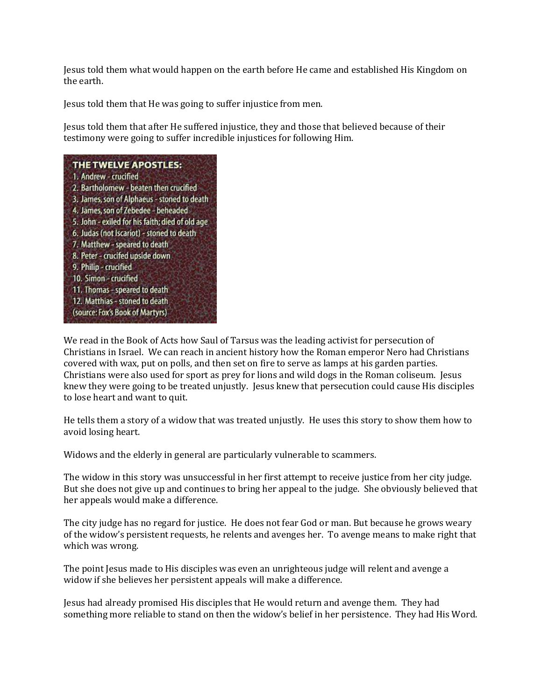Jesus told them what would happen on the earth before He came and established His Kingdom on the earth.

Jesus told them that He was going to suffer injustice from men.

Jesus told them that after He suffered injustice, they and those that believed because of their testimony were going to suffer incredible injustices for following Him.

### THE TWELVE APOSTLES:

1. Andrew - crucified 2. Bartholomew - beaten then crucified 3. James, son of Alphaeus - stoned to death 4. James, son of Zebedee - beheaded 5. John - exiled for his faith; died of old age 6. Judas (not Iscariot) - stoned to death 7. Matthew - speared to death 8. Peter - crucifed upside down 9. Philip - crucified 10. Simon - crucified 11. Thomas - speared to death 12. Matthias - stoned to death (source: Fox's Book of Martyrs)

We read in the Book of Acts how Saul of Tarsus was the leading activist for persecution of Christians in Israel. We can reach in ancient history how the Roman emperor Nero had Christians covered with wax, put on polls, and then set on fire to serve as lamps at his garden parties. Christians were also used for sport as prey for lions and wild dogs in the Roman coliseum. Jesus knew they were going to be treated unjustly. Jesus knew that persecution could cause His disciples to lose heart and want to quit.

He tells them a story of a widow that was treated unjustly. He uses this story to show them how to avoid losing heart.

Widows and the elderly in general are particularly vulnerable to scammers.

The widow in this story was unsuccessful in her first attempt to receive justice from her city judge. But she does not give up and continues to bring her appeal to the judge. She obviously believed that her appeals would make a difference.

The city judge has no regard for justice. He does not fear God or man. But because he grows weary of the widow's persistent requests, he relents and avenges her. To avenge means to make right that which was wrong.

The point Jesus made to His disciples was even an unrighteous judge will relent and avenge a widow if she believes her persistent appeals will make a difference.

Jesus had already promised His disciples that He would return and avenge them. They had something more reliable to stand on then the widow's belief in her persistence. They had His Word.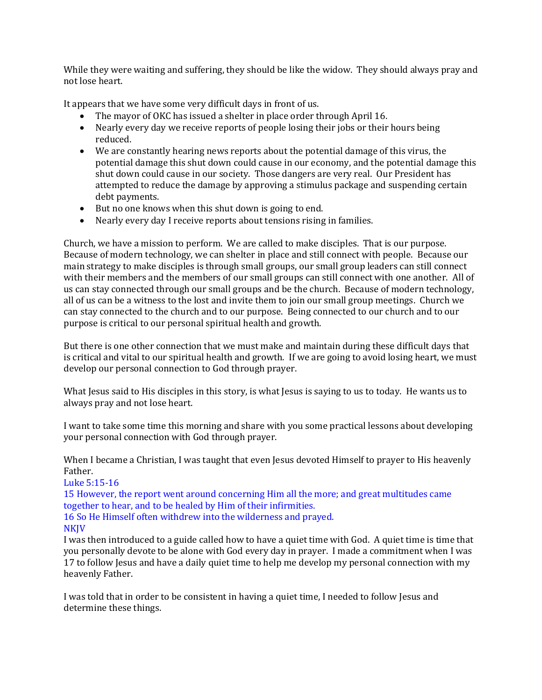While they were waiting and suffering, they should be like the widow. They should always pray and not lose heart.

It appears that we have some very difficult days in front of us.

- The mayor of OKC has issued a shelter in place order through April 16.
- Nearly every day we receive reports of people losing their jobs or their hours being reduced.
- We are constantly hearing news reports about the potential damage of this virus, the potential damage this shut down could cause in our economy, and the potential damage this shut down could cause in our society. Those dangers are very real. Our President has attempted to reduce the damage by approving a stimulus package and suspending certain debt payments.
- But no one knows when this shut down is going to end.
- Nearly every day I receive reports about tensions rising in families.

Church, we have a mission to perform. We are called to make disciples. That is our purpose. Because of modern technology, we can shelter in place and still connect with people. Because our main strategy to make disciples is through small groups, our small group leaders can still connect with their members and the members of our small groups can still connect with one another. All of us can stay connected through our small groups and be the church. Because of modern technology, all of us can be a witness to the lost and invite them to join our small group meetings. Church we can stay connected to the church and to our purpose. Being connected to our church and to our purpose is critical to our personal spiritual health and growth.

But there is one other connection that we must make and maintain during these difficult days that is critical and vital to our spiritual health and growth. If we are going to avoid losing heart, we must develop our personal connection to God through prayer.

What Jesus said to His disciples in this story, is what Jesus is saying to us to today. He wants us to always pray and not lose heart.

I want to take some time this morning and share with you some practical lessons about developing your personal connection with God through prayer.

When I became a Christian, I was taught that even Jesus devoted Himself to prayer to His heavenly Father.

Luke 5:15-16

15 However, the report went around concerning Him all the more; and great multitudes came together to hear, and to be healed by Him of their infirmities. 16 So He Himself often withdrew into the wilderness and prayed.

#### **NKIV**

I was then introduced to a guide called how to have a quiet time with God. A quiet time is time that you personally devote to be alone with God every day in prayer. I made a commitment when I was 17 to follow Jesus and have a daily quiet time to help me develop my personal connection with my heavenly Father.

I was told that in order to be consistent in having a quiet time, I needed to follow Jesus and determine these things.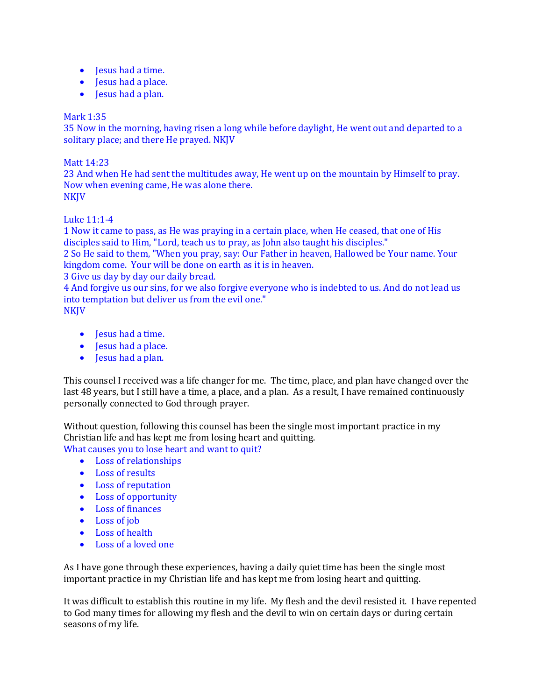- Jesus had a time.
- Jesus had a place.
- Jesus had a plan.

# Mark 1:35

35 Now in the morning, having risen a long while before daylight, He went out and departed to a solitary place; and there He prayed. NKJV

## Matt 14:23

23 And when He had sent the multitudes away, He went up on the mountain by Himself to pray. Now when evening came, He was alone there. **NKIV** 

Luke 11:1-4

1 Now it came to pass, as He was praying in a certain place, when He ceased, that one of His disciples said to Him, "Lord, teach us to pray, as John also taught his disciples."

2 So He said to them, "When you pray, say: Our Father in heaven, Hallowed be Your name. Your kingdom come. Your will be done on earth as it is in heaven.

3 Give us day by day our daily bread.

4 And forgive us our sins, for we also forgive everyone who is indebted to us. And do not lead us into temptation but deliver us from the evil one."

NKJV

- Jesus had a time.
- Jesus had a place.
- Jesus had a plan.

This counsel I received was a life changer for me. The time, place, and plan have changed over the last 48 years, but I still have a time, a place, and a plan. As a result, I have remained continuously personally connected to God through prayer.

Without question, following this counsel has been the single most important practice in my Christian life and has kept me from losing heart and quitting. What causes you to lose heart and want to quit?

- Loss of relationships
- Loss of results
- Loss of reputation
- Loss of opportunity
- Loss of finances
- Loss of job
- Loss of health
- Loss of a loved one

As I have gone through these experiences, having a daily quiet time has been the single most important practice in my Christian life and has kept me from losing heart and quitting.

It was difficult to establish this routine in my life. My flesh and the devil resisted it. I have repented to God many times for allowing my flesh and the devil to win on certain days or during certain seasons of my life.